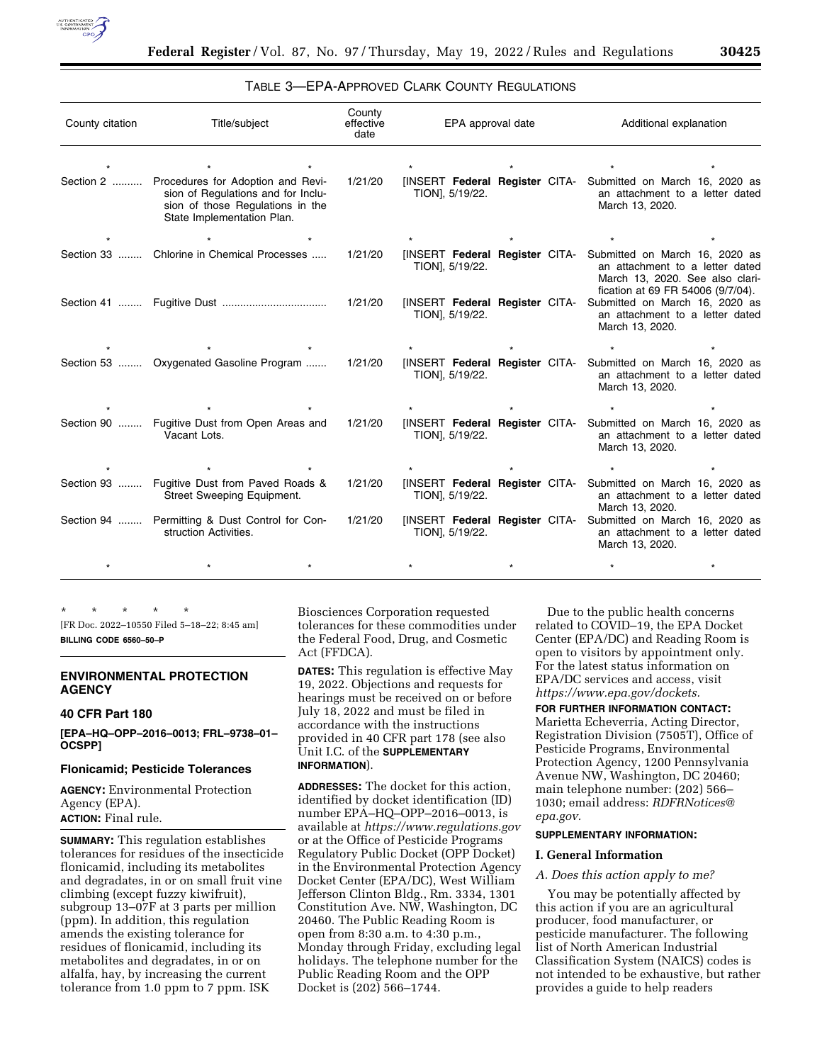

# TABLE 3—EPA-APPROVED CLARK COUNTY REGULATIONS

| County citation | Title/subject                                                                                               | County<br>effective<br>date | EPA approval date                                       | Additional explanation                                                                                                                                   |  |
|-----------------|-------------------------------------------------------------------------------------------------------------|-----------------------------|---------------------------------------------------------|----------------------------------------------------------------------------------------------------------------------------------------------------------|--|
| Section 2       | Procedures for Adoption and Revi-<br>sion of Regulations and for Inclu-<br>sion of those Regulations in the | 1/21/20                     | TION], 5/19/22.                                         | [INSERT Federal Register CITA- Submitted on March 16, 2020 as<br>an attachment to a letter dated<br>March 13, 2020.                                      |  |
|                 | State Implementation Plan.                                                                                  |                             |                                                         |                                                                                                                                                          |  |
| Section 33      | Chlorine in Chemical Processes                                                                              | 1/21/20                     | <b>INSERT Federal Register CITA-</b><br>TION], 5/19/22. | Submitted on March 16, 2020 as<br>an attachment to a letter dated<br>March 13, 2020. See also clari-                                                     |  |
|                 |                                                                                                             | 1/21/20                     | TION], 5/19/22.                                         | fication at 69 FR 54006 (9/7/04).<br>[INSERT Federal Register CITA- Submitted on March 16, 2020 as<br>an attachment to a letter dated<br>March 13, 2020. |  |
|                 |                                                                                                             |                             |                                                         |                                                                                                                                                          |  |
|                 | Section 53  Oxygenated Gasoline Program                                                                     | 1/21/20                     | TION], 5/19/22.                                         | [INSERT Federal Register CITA- Submitted on March 16, 2020 as<br>an attachment to a letter dated<br>March 13, 2020.                                      |  |
|                 |                                                                                                             |                             |                                                         |                                                                                                                                                          |  |
| Section 90      | Fugitive Dust from Open Areas and<br>Vacant Lots.                                                           | 1/21/20                     | TION], 5/19/22.                                         | [INSERT Federal Register CITA- Submitted on March 16, 2020 as<br>an attachment to a letter dated<br>March 13, 2020.                                      |  |
|                 |                                                                                                             |                             |                                                         |                                                                                                                                                          |  |
| Section 93      | Fugitive Dust from Paved Roads &<br>Street Sweeping Equipment.                                              | 1/21/20                     | TION], 5/19/22.                                         | [INSERT Federal Register CITA- Submitted on March 16, 2020 as<br>an attachment to a letter dated<br>March 13, 2020.                                      |  |
|                 | Section 94  Permitting & Dust Control for Con-<br>struction Activities.                                     | 1/21/20                     | TION], 5/19/22.                                         | [INSERT Federal Register CITA- Submitted on March 16, 2020 as<br>an attachment to a letter dated<br>March 13, 2020.                                      |  |
|                 |                                                                                                             |                             |                                                         |                                                                                                                                                          |  |

\* \* \* \* \* [FR Doc. 2022–10550 Filed 5–18–22; 8:45 am] **BILLING CODE 6560–50–P** 

#### **ENVIRONMENTAL PROTECTION AGENCY**

# **40 CFR Part 180**

**[EPA–HQ–OPP–2016–0013; FRL–9738–01– OCSPP]** 

#### **Flonicamid; Pesticide Tolerances**

**AGENCY:** Environmental Protection Agency (EPA). **ACTION:** Final rule.

**SUMMARY:** This regulation establishes tolerances for residues of the insecticide flonicamid, including its metabolites and degradates, in or on small fruit vine climbing (except fuzzy kiwifruit), subgroup 13–07F at 3 parts per million (ppm). In addition, this regulation amends the existing tolerance for residues of flonicamid, including its metabolites and degradates, in or on alfalfa, hay, by increasing the current tolerance from 1.0 ppm to 7 ppm. ISK

Biosciences Corporation requested tolerances for these commodities under the Federal Food, Drug, and Cosmetic Act (FFDCA).

**DATES:** This regulation is effective May 19, 2022. Objections and requests for hearings must be received on or before July 18, 2022 and must be filed in accordance with the instructions provided in 40 CFR part 178 (see also Unit I.C. of the **SUPPLEMENTARY INFORMATION**).

**ADDRESSES:** The docket for this action, identified by docket identification (ID) number EPA–HQ–OPP–2016–0013, is available at *<https://www.regulations.gov>* or at the Office of Pesticide Programs Regulatory Public Docket (OPP Docket) in the Environmental Protection Agency Docket Center (EPA/DC), West William Jefferson Clinton Bldg., Rm. 3334, 1301 Constitution Ave. NW, Washington, DC 20460. The Public Reading Room is open from 8:30 a.m. to 4:30 p.m., Monday through Friday, excluding legal holidays. The telephone number for the Public Reading Room and the OPP Docket is (202) 566–1744.

Due to the public health concerns related to COVID–19, the EPA Docket Center (EPA/DC) and Reading Room is open to visitors by appointment only. For the latest status information on EPA/DC services and access, visit *[https://www.epa.gov/dockets.](https://www.epa.gov/dockets)* 

# **FOR FURTHER INFORMATION CONTACT:**

Marietta Echeverria, Acting Director, Registration Division (7505T), Office of Pesticide Programs, Environmental Protection Agency, 1200 Pennsylvania Avenue NW, Washington, DC 20460; main telephone number: (202) 566– 1030; email address: *[RDFRNotices@](mailto:RDFRNotices@epa.gov) [epa.gov.](mailto:RDFRNotices@epa.gov)* 

# **SUPPLEMENTARY INFORMATION:**

# **I. General Information**

#### *A. Does this action apply to me?*

You may be potentially affected by this action if you are an agricultural producer, food manufacturer, or pesticide manufacturer. The following list of North American Industrial Classification System (NAICS) codes is not intended to be exhaustive, but rather provides a guide to help readers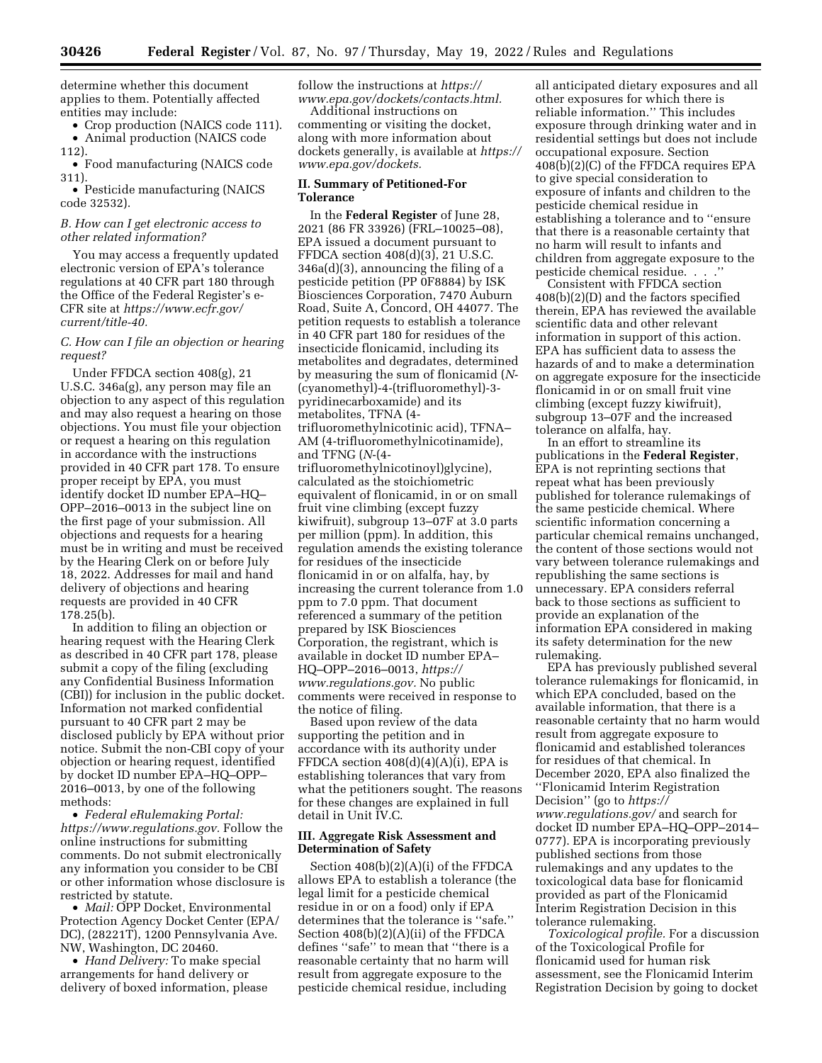determine whether this document applies to them. Potentially affected entities may include:

• Crop production (NAICS code 111). • Animal production (NAICS code 112).

• Food manufacturing (NAICS code 311).

• Pesticide manufacturing (NAICS code 32532).

## *B. How can I get electronic access to other related information?*

You may access a frequently updated electronic version of EPA's tolerance regulations at 40 CFR part 180 through the Office of the Federal Register's e-CFR site at *[https://www.ecfr.gov/](https://www.ecfr.gov/current/title-40) [current/title-40.](https://www.ecfr.gov/current/title-40)* 

#### *C. How can I file an objection or hearing request?*

Under FFDCA section 408(g), 21 U.S.C. 346a(g), any person may file an objection to any aspect of this regulation and may also request a hearing on those objections. You must file your objection or request a hearing on this regulation in accordance with the instructions provided in 40 CFR part 178. To ensure proper receipt by EPA, you must identify docket ID number EPA–HQ– OPP–2016–0013 in the subject line on the first page of your submission. All objections and requests for a hearing must be in writing and must be received by the Hearing Clerk on or before July 18, 2022. Addresses for mail and hand delivery of objections and hearing requests are provided in 40 CFR 178.25(b).

In addition to filing an objection or hearing request with the Hearing Clerk as described in 40 CFR part 178, please submit a copy of the filing (excluding any Confidential Business Information (CBI)) for inclusion in the public docket. Information not marked confidential pursuant to 40 CFR part 2 may be disclosed publicly by EPA without prior notice. Submit the non-CBI copy of your objection or hearing request, identified by docket ID number EPA–HQ–OPP– 2016–0013, by one of the following methods:

• *Federal eRulemaking Portal: [https://www.regulations.gov.](https://www.regulations.gov)* Follow the online instructions for submitting comments. Do not submit electronically any information you consider to be CBI or other information whose disclosure is restricted by statute.

• *Mail:* OPP Docket, Environmental Protection Agency Docket Center (EPA/ DC), (28221T), 1200 Pennsylvania Ave. NW, Washington, DC 20460.

• *Hand Delivery:* To make special arrangements for hand delivery or delivery of boxed information, please follow the instructions at *[https://](https://www.epa.gov/dockets/contacts.html) [www.epa.gov/dockets/contacts.html.](https://www.epa.gov/dockets/contacts.html)* 

Additional instructions on commenting or visiting the docket, along with more information about dockets generally, is available at *[https://](https://www.epa.gov/dockets) [www.epa.gov/dockets.](https://www.epa.gov/dockets)* 

# **II. Summary of Petitioned-For Tolerance**

In the **Federal Register** of June 28, 2021 (86 FR 33926) (FRL–10025–08), EPA issued a document pursuant to FFDCA section 408(d)(3), 21 U.S.C. 346a(d)(3), announcing the filing of a pesticide petition (PP 0F8884) by ISK Biosciences Corporation, 7470 Auburn Road, Suite A, Concord, OH 44077. The petition requests to establish a tolerance in 40 CFR part 180 for residues of the insecticide flonicamid, including its metabolites and degradates, determined by measuring the sum of flonicamid (*N*- (cyanomethyl)-4-(trifluoromethyl)-3 pyridinecarboxamide) and its metabolites, TFNA (4 trifluoromethylnicotinic acid), TFNA– AM (4-trifluoromethylnicotinamide), and TFNG (*N*-(4 trifluoromethylnicotinoyl)glycine), calculated as the stoichiometric equivalent of flonicamid, in or on small fruit vine climbing (except fuzzy kiwifruit), subgroup 13–07F at 3.0 parts per million (ppm). In addition, this regulation amends the existing tolerance for residues of the insecticide flonicamid in or on alfalfa, hay, by increasing the current tolerance from 1.0 ppm to 7.0 ppm. That document referenced a summary of the petition prepared by ISK Biosciences Corporation, the registrant, which is available in docket ID number EPA– HQ–OPP–2016–0013, *[https://](https://www.regulations.gov) [www.regulations.gov.](https://www.regulations.gov)* No public comments were received in response to the notice of filing.

Based upon review of the data supporting the petition and in accordance with its authority under FFDCA section  $408(d)(4)(A)(i)$ , EPA is establishing tolerances that vary from what the petitioners sought. The reasons for these changes are explained in full detail in Unit IV.C.

# **III. Aggregate Risk Assessment and Determination of Safety**

Section 408(b)(2)(A)(i) of the FFDCA allows EPA to establish a tolerance (the legal limit for a pesticide chemical residue in or on a food) only if EPA determines that the tolerance is ''safe.'' Section 408(b)(2)(A)(ii) of the FFDCA defines ''safe'' to mean that ''there is a reasonable certainty that no harm will result from aggregate exposure to the pesticide chemical residue, including

all anticipated dietary exposures and all other exposures for which there is reliable information.'' This includes exposure through drinking water and in residential settings but does not include occupational exposure. Section 408(b)(2)(C) of the FFDCA requires EPA to give special consideration to exposure of infants and children to the pesticide chemical residue in establishing a tolerance and to ''ensure that there is a reasonable certainty that no harm will result to infants and children from aggregate exposure to the pesticide chemical residue. . . .''

Consistent with FFDCA section 408(b)(2)(D) and the factors specified therein, EPA has reviewed the available scientific data and other relevant information in support of this action. EPA has sufficient data to assess the hazards of and to make a determination on aggregate exposure for the insecticide flonicamid in or on small fruit vine climbing (except fuzzy kiwifruit), subgroup 13–07F and the increased tolerance on alfalfa, hay.

In an effort to streamline its publications in the **Federal Register**, EPA is not reprinting sections that repeat what has been previously published for tolerance rulemakings of the same pesticide chemical. Where scientific information concerning a particular chemical remains unchanged, the content of those sections would not vary between tolerance rulemakings and republishing the same sections is unnecessary. EPA considers referral back to those sections as sufficient to provide an explanation of the information EPA considered in making its safety determination for the new rulemaking.

EPA has previously published several tolerance rulemakings for flonicamid, in which EPA concluded, based on the available information, that there is a reasonable certainty that no harm would result from aggregate exposure to flonicamid and established tolerances for residues of that chemical. In December 2020, EPA also finalized the ''Flonicamid Interim Registration Decision'' (go to *[https://](https://www.regulations.gov/) [www.regulations.gov/](https://www.regulations.gov/)* and search for docket ID number EPA–HQ–OPP–2014– 0777). EPA is incorporating previously published sections from those rulemakings and any updates to the toxicological data base for flonicamid provided as part of the Flonicamid Interim Registration Decision in this tolerance rulemaking.

*Toxicological profile.* For a discussion of the Toxicological Profile for flonicamid used for human risk assessment, see the Flonicamid Interim Registration Decision by going to docket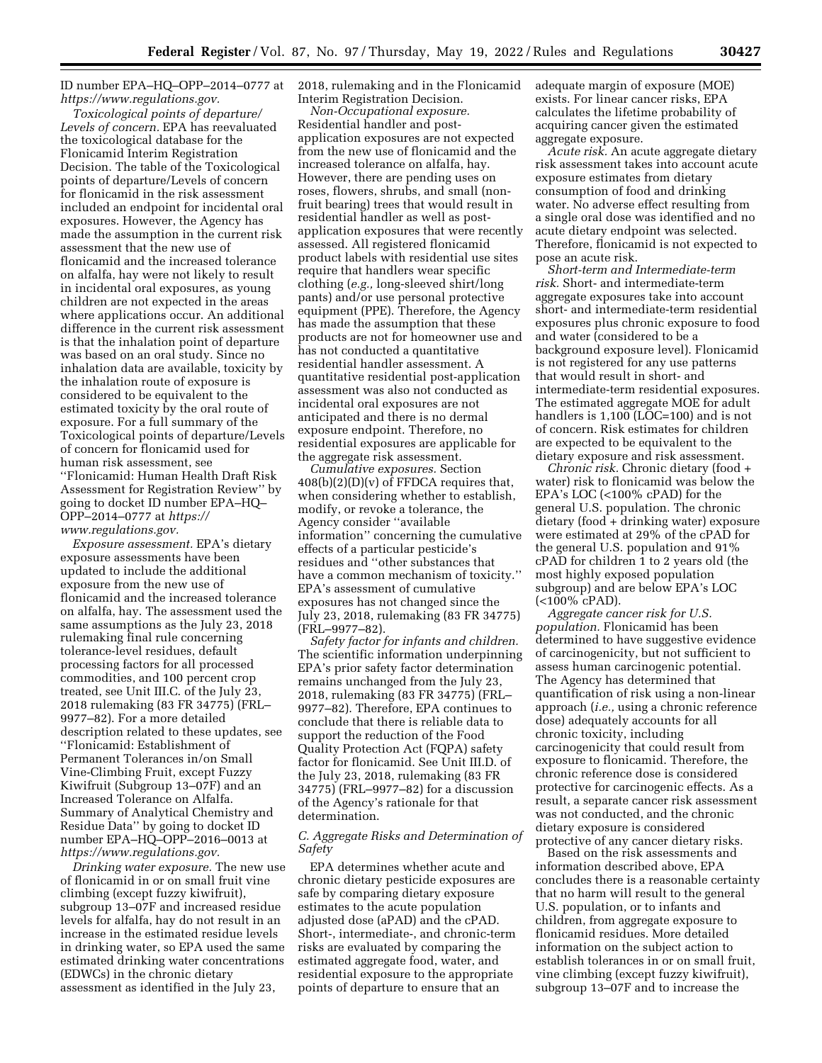ID number EPA–HQ–OPP–2014–0777 at *[https://www.regulations.gov.](https://www.regulations.gov)* 

*Toxicological points of departure/ Levels of concern.* EPA has reevaluated the toxicological database for the Flonicamid Interim Registration Decision. The table of the Toxicological points of departure/Levels of concern for flonicamid in the risk assessment included an endpoint for incidental oral exposures. However, the Agency has made the assumption in the current risk assessment that the new use of flonicamid and the increased tolerance on alfalfa, hay were not likely to result in incidental oral exposures, as young children are not expected in the areas where applications occur. An additional difference in the current risk assessment is that the inhalation point of departure was based on an oral study. Since no inhalation data are available, toxicity by the inhalation route of exposure is considered to be equivalent to the estimated toxicity by the oral route of exposure. For a full summary of the Toxicological points of departure/Levels of concern for flonicamid used for human risk assessment, see ''Flonicamid: Human Health Draft Risk Assessment for Registration Review'' by going to docket ID number EPA–HQ– OPP–2014–0777 at *[https://](https://www.regulations.gov) [www.regulations.gov.](https://www.regulations.gov)* 

*Exposure assessment.* EPA's dietary exposure assessments have been updated to include the additional exposure from the new use of flonicamid and the increased tolerance on alfalfa, hay. The assessment used the same assumptions as the July 23, 2018 rulemaking final rule concerning tolerance-level residues, default processing factors for all processed commodities, and 100 percent crop treated, see Unit III.C. of the July 23, 2018 rulemaking (83 FR 34775) (FRL– 9977–82). For a more detailed description related to these updates, see ''Flonicamid: Establishment of Permanent Tolerances in/on Small Vine-Climbing Fruit, except Fuzzy Kiwifruit (Subgroup 13–07F) and an Increased Tolerance on Alfalfa. Summary of Analytical Chemistry and Residue Data'' by going to docket ID number EPA–HQ–OPP–2016–0013 at *[https://www.regulations.gov.](https://www.regulations.gov)* 

*Drinking water exposure.* The new use of flonicamid in or on small fruit vine climbing (except fuzzy kiwifruit), subgroup 13–07F and increased residue levels for alfalfa, hay do not result in an increase in the estimated residue levels in drinking water, so EPA used the same estimated drinking water concentrations (EDWCs) in the chronic dietary assessment as identified in the July 23,

2018, rulemaking and in the Flonicamid Interim Registration Decision.

*Non-Occupational exposure.*  Residential handler and postapplication exposures are not expected from the new use of flonicamid and the increased tolerance on alfalfa, hay. However, there are pending uses on roses, flowers, shrubs, and small (nonfruit bearing) trees that would result in residential handler as well as postapplication exposures that were recently assessed. All registered flonicamid product labels with residential use sites require that handlers wear specific clothing (*e.g.,* long-sleeved shirt/long pants) and/or use personal protective equipment (PPE). Therefore, the Agency has made the assumption that these products are not for homeowner use and has not conducted a quantitative residential handler assessment. A quantitative residential post-application assessment was also not conducted as incidental oral exposures are not anticipated and there is no dermal exposure endpoint. Therefore, no residential exposures are applicable for the aggregate risk assessment.

*Cumulative exposures.* Section  $408(b)(2)(D)(v)$  of FFDCA requires that, when considering whether to establish, modify, or revoke a tolerance, the Agency consider ''available information'' concerning the cumulative effects of a particular pesticide's residues and ''other substances that have a common mechanism of toxicity.'' EPA's assessment of cumulative exposures has not changed since the July 23, 2018, rulemaking (83 FR 34775) (FRL–9977–82).

*Safety factor for infants and children.*  The scientific information underpinning EPA's prior safety factor determination remains unchanged from the July 23, 2018, rulemaking (83 FR 34775) (FRL– 9977–82). Therefore, EPA continues to conclude that there is reliable data to support the reduction of the Food Quality Protection Act (FQPA) safety factor for flonicamid. See Unit III.D. of the July 23, 2018, rulemaking (83 FR 34775) (FRL–9977–82) for a discussion of the Agency's rationale for that determination.

# *C. Aggregate Risks and Determination of Safety*

EPA determines whether acute and chronic dietary pesticide exposures are safe by comparing dietary exposure estimates to the acute population adjusted dose (aPAD) and the cPAD. Short-, intermediate-, and chronic-term risks are evaluated by comparing the estimated aggregate food, water, and residential exposure to the appropriate points of departure to ensure that an

adequate margin of exposure (MOE) exists. For linear cancer risks, EPA calculates the lifetime probability of acquiring cancer given the estimated aggregate exposure.

*Acute risk.* An acute aggregate dietary risk assessment takes into account acute exposure estimates from dietary consumption of food and drinking water. No adverse effect resulting from a single oral dose was identified and no acute dietary endpoint was selected. Therefore, flonicamid is not expected to pose an acute risk.

*Short-term and Intermediate-term risk.* Short- and intermediate-term aggregate exposures take into account short- and intermediate-term residential exposures plus chronic exposure to food and water (considered to be a background exposure level). Flonicamid is not registered for any use patterns that would result in short- and intermediate-term residential exposures. The estimated aggregate MOE for adult handlers is 1,100 (LOC=100) and is not of concern. Risk estimates for children are expected to be equivalent to the dietary exposure and risk assessment.

*Chronic risk.* Chronic dietary (food + water) risk to flonicamid was below the EPA's LOC (<100% cPAD) for the general U.S. population. The chronic dietary (food + drinking water) exposure were estimated at 29% of the cPAD for the general U.S. population and 91% cPAD for children 1 to 2 years old (the most highly exposed population subgroup) and are below EPA's LOC (<100% cPAD).

*Aggregate cancer risk for U.S. population.* Flonicamid has been determined to have suggestive evidence of carcinogenicity, but not sufficient to assess human carcinogenic potential. The Agency has determined that quantification of risk using a non-linear approach (*i.e.,* using a chronic reference dose) adequately accounts for all chronic toxicity, including carcinogenicity that could result from exposure to flonicamid. Therefore, the chronic reference dose is considered protective for carcinogenic effects. As a result, a separate cancer risk assessment was not conducted, and the chronic dietary exposure is considered protective of any cancer dietary risks.

Based on the risk assessments and information described above, EPA concludes there is a reasonable certainty that no harm will result to the general U.S. population, or to infants and children, from aggregate exposure to flonicamid residues. More detailed information on the subject action to establish tolerances in or on small fruit, vine climbing (except fuzzy kiwifruit), subgroup 13–07F and to increase the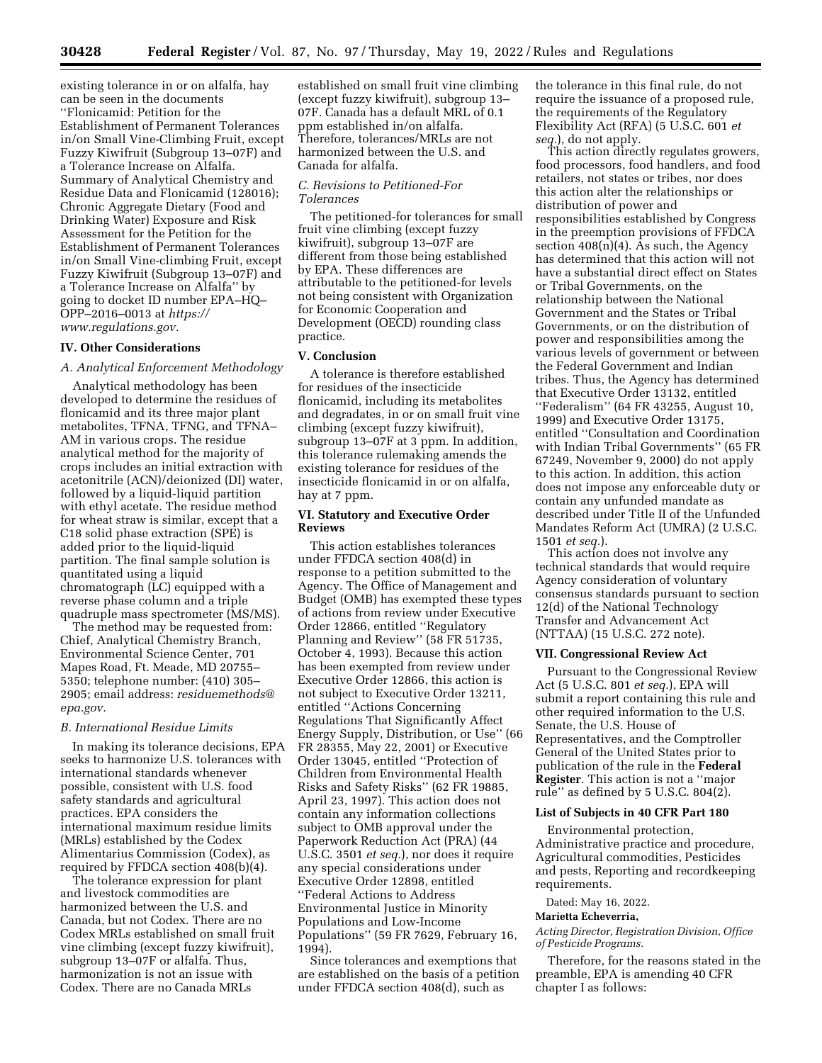**30428 Federal Register** / Vol. 87, No. 97 / Thursday, May 19, 2022 / Rules and Regulations

existing tolerance in or on alfalfa, hay can be seen in the documents ''Flonicamid: Petition for the Establishment of Permanent Tolerances in/on Small Vine-Climbing Fruit, except Fuzzy Kiwifruit (Subgroup 13–07F) and a Tolerance Increase on Alfalfa. Summary of Analytical Chemistry and Residue Data and Flonicamid (128016); Chronic Aggregate Dietary (Food and Drinking Water) Exposure and Risk Assessment for the Petition for the Establishment of Permanent Tolerances in/on Small Vine-climbing Fruit, except Fuzzy Kiwifruit (Subgroup 13–07F) and a Tolerance Increase on Alfalfa'' by going to docket ID number EPA–HQ– OPP–2016–0013 at *[https://](https://www.regulations.gov) [www.regulations.gov.](https://www.regulations.gov)* 

# **IV. Other Considerations**

## *A. Analytical Enforcement Methodology*

Analytical methodology has been developed to determine the residues of flonicamid and its three major plant metabolites, TFNA, TFNG, and TFNA– AM in various crops. The residue analytical method for the majority of crops includes an initial extraction with acetonitrile (ACN)/deionized (DI) water, followed by a liquid-liquid partition with ethyl acetate. The residue method for wheat straw is similar, except that a C18 solid phase extraction (SPE) is added prior to the liquid-liquid partition. The final sample solution is quantitated using a liquid chromatograph (LC) equipped with a reverse phase column and a triple quadruple mass spectrometer (MS/MS).

The method may be requested from: Chief, Analytical Chemistry Branch, Environmental Science Center, 701 Mapes Road, Ft. Meade, MD 20755– 5350; telephone number: (410) 305– 2905; email address: *[residuemethods@](mailto:residuemethods@epa.gov) [epa.gov.](mailto:residuemethods@epa.gov)* 

## *B. International Residue Limits*

In making its tolerance decisions, EPA seeks to harmonize U.S. tolerances with international standards whenever possible, consistent with U.S. food safety standards and agricultural practices. EPA considers the international maximum residue limits (MRLs) established by the Codex Alimentarius Commission (Codex), as required by FFDCA section 408(b)(4).

The tolerance expression for plant and livestock commodities are harmonized between the U.S. and Canada, but not Codex. There are no Codex MRLs established on small fruit vine climbing (except fuzzy kiwifruit), subgroup 13–07F or alfalfa. Thus, harmonization is not an issue with Codex. There are no Canada MRLs

established on small fruit vine climbing (except fuzzy kiwifruit), subgroup 13– 07F. Canada has a default MRL of 0.1 ppm established in/on alfalfa. Therefore, tolerances/MRLs are not harmonized between the U.S. and Canada for alfalfa.

# *C. Revisions to Petitioned-For Tolerances*

The petitioned-for tolerances for small fruit vine climbing (except fuzzy kiwifruit), subgroup 13–07F are different from those being established by EPA. These differences are attributable to the petitioned-for levels not being consistent with Organization for Economic Cooperation and Development (OECD) rounding class practice.

# **V. Conclusion**

A tolerance is therefore established for residues of the insecticide flonicamid, including its metabolites and degradates, in or on small fruit vine climbing (except fuzzy kiwifruit), subgroup 13–07F at 3 ppm. In addition, this tolerance rulemaking amends the existing tolerance for residues of the insecticide flonicamid in or on alfalfa, hay at 7 ppm.

# **VI. Statutory and Executive Order Reviews**

This action establishes tolerances under FFDCA section 408(d) in response to a petition submitted to the Agency. The Office of Management and Budget (OMB) has exempted these types of actions from review under Executive Order 12866, entitled ''Regulatory Planning and Review'' (58 FR 51735, October 4, 1993). Because this action has been exempted from review under Executive Order 12866, this action is not subject to Executive Order 13211, entitled ''Actions Concerning Regulations That Significantly Affect Energy Supply, Distribution, or Use'' (66 FR 28355, May 22, 2001) or Executive Order 13045, entitled ''Protection of Children from Environmental Health Risks and Safety Risks'' (62 FR 19885, April 23, 1997). This action does not contain any information collections subject to OMB approval under the Paperwork Reduction Act (PRA) (44 U.S.C. 3501 *et seq.*), nor does it require any special considerations under Executive Order 12898, entitled ''Federal Actions to Address Environmental Justice in Minority Populations and Low-Income Populations'' (59 FR 7629, February 16, 1994).

Since tolerances and exemptions that are established on the basis of a petition under FFDCA section 408(d), such as

the tolerance in this final rule, do not require the issuance of a proposed rule, the requirements of the Regulatory Flexibility Act (RFA) (5 U.S.C. 601 *et seq.*), do not apply.

This action directly regulates growers, food processors, food handlers, and food retailers, not states or tribes, nor does this action alter the relationships or distribution of power and responsibilities established by Congress in the preemption provisions of FFDCA section  $408(n)(4)$ . As such, the Agency has determined that this action will not have a substantial direct effect on States or Tribal Governments, on the relationship between the National Government and the States or Tribal Governments, or on the distribution of power and responsibilities among the various levels of government or between the Federal Government and Indian tribes. Thus, the Agency has determined that Executive Order 13132, entitled ''Federalism'' (64 FR 43255, August 10, 1999) and Executive Order 13175, entitled ''Consultation and Coordination with Indian Tribal Governments'' (65 FR 67249, November 9, 2000) do not apply to this action. In addition, this action does not impose any enforceable duty or contain any unfunded mandate as described under Title II of the Unfunded Mandates Reform Act (UMRA) (2 U.S.C. 1501 *et seq.*).

This action does not involve any technical standards that would require Agency consideration of voluntary consensus standards pursuant to section 12(d) of the National Technology Transfer and Advancement Act (NTTAA) (15 U.S.C. 272 note).

#### **VII. Congressional Review Act**

Pursuant to the Congressional Review Act (5 U.S.C. 801 *et seq.*), EPA will submit a report containing this rule and other required information to the U.S. Senate, the U.S. House of Representatives, and the Comptroller General of the United States prior to publication of the rule in the **Federal Register**. This action is not a ''major rule'' as defined by 5 U.S.C. 804(2).

# **List of Subjects in 40 CFR Part 180**

Environmental protection, Administrative practice and procedure, Agricultural commodities, Pesticides and pests, Reporting and recordkeeping requirements.

Dated: May 16, 2022.

#### **Marietta Echeverria,**

*Acting Director, Registration Division, Office of Pesticide Programs.* 

Therefore, for the reasons stated in the preamble, EPA is amending 40 CFR chapter I as follows: